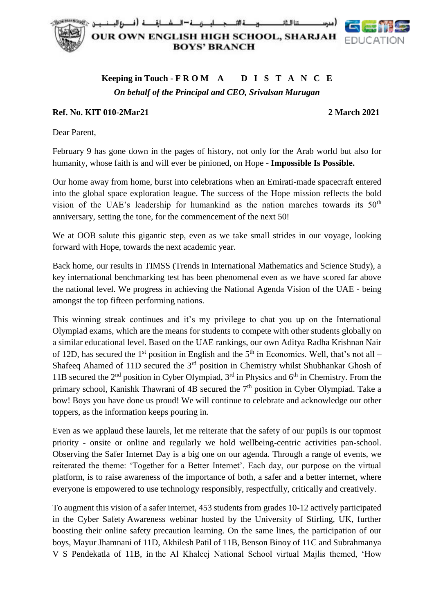

## **Keeping in Touch - F R O M A D I S T A N C E** *On behalf of the Principal and CEO, Srivalsan Murugan*

## **Ref. No. KIT 010-2Mar21 2 March 2021**

Dear Parent,

February 9 has gone down in the pages of history, not only for the Arab world but also for humanity, whose faith is and will ever be pinioned, on Hope - **Impossible Is Possible.**

Our home away from home, burst into celebrations when an Emirati-made spacecraft entered into the global space exploration league. The success of the Hope mission reflects the bold vision of the UAE's leadership for humankind as the nation marches towards its  $50<sup>th</sup>$ anniversary, setting the tone, for the commencement of the next 50!

We at OOB salute this gigantic step, even as we take small strides in our voyage, looking forward with Hope, towards the next academic year.

Back home, our results in TIMSS (Trends in International Mathematics and Science Study), a key international benchmarking test has been phenomenal even as we have scored far above the national level. We progress in achieving the National Agenda Vision of the UAE - being amongst the top fifteen performing nations.

This winning streak continues and it's my privilege to chat you up on the International Olympiad exams, which are the means for students to compete with other students globally on a similar educational level. Based on the UAE rankings, our own Aditya Radha Krishnan Nair of 12D, has secured the 1<sup>st</sup> position in English and the  $5<sup>th</sup>$  in Economics. Well, that's not all – Shafeeq Ahamed of 11D secured the  $3<sup>rd</sup>$  position in Chemistry whilst Shubhankar Ghosh of 11B secured the  $2<sup>nd</sup>$  position in Cyber Olympiad,  $3<sup>rd</sup>$  in Physics and  $6<sup>th</sup>$  in Chemistry. From the primary school, Kanishk Thawrani of 4B secured the 7<sup>th</sup> position in Cyber Olympiad. Take a bow! Boys you have done us proud! We will continue to celebrate and acknowledge our other toppers, as the information keeps pouring in.

Even as we applaud these laurels, let me reiterate that the safety of our pupils is our topmost priority - onsite or online and regularly we hold wellbeing-centric activities pan-school. Observing the Safer Internet Day is a big one on our agenda. Through a range of events, we reiterated the theme: 'Together for a Better Internet'. Each day, our purpose on the virtual platform, is to raise awareness of the importance of both, a safer and a better internet, where everyone is empowered to use technology responsibly, respectfully, critically and creatively.

To augment this vision of a safer internet, 453 students from grades 10-12 actively participated in the Cyber Safety Awareness webinar hosted by the University of Stirling, UK, further boosting their online safety precaution learning. On the same lines, the participation of our boys, Mayur Jhamnani of 11D, Akhilesh Patil of 11B, Benson Binoy of 11C and Subrahmanya V S Pendekatla of 11B, in the Al Khaleej National School virtual Majlis themed, 'How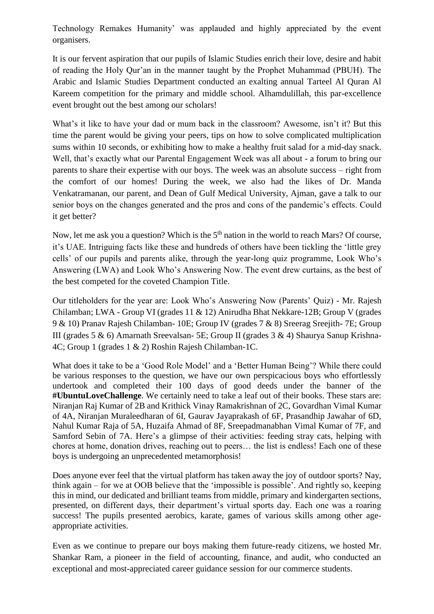Technology Remakes Humanity' was applauded and highly appreciated by the event organisers.

It is our fervent aspiration that our pupils of Islamic Studies enrich their love, desire and habit of reading the Holy Qur'an in the manner taught by the Prophet Muhammad (PBUH). The Arabic and Islamic Studies Department conducted an exalting annual Tarteel Al Quran Al Kareem competition for the primary and middle school. Alhamdulillah, this par-excellence event brought out the best among our scholars!

What's it like to have your dad or mum back in the classroom? Awesome, isn't it? But this time the parent would be giving your peers, tips on how to solve complicated multiplication sums within 10 seconds, or exhibiting how to make a healthy fruit salad for a mid-day snack. Well, that's exactly what our Parental Engagement Week was all about - a forum to bring our parents to share their expertise with our boys. The week was an absolute success – right from the comfort of our homes! During the week, we also had the likes of Dr. Manda Venkatramanan, our parent, and Dean of Gulf Medical University, Ajman, gave a talk to our senior boys on the changes generated and the pros and cons of the pandemic's effects. Could it get better?

Now, let me ask you a question? Which is the 5<sup>th</sup> nation in the world to reach Mars? Of course, it's UAE. Intriguing facts like these and hundreds of others have been tickling the 'little grey cells' of our pupils and parents alike, through the year-long quiz programme, Look Who's Answering (LWA) and Look Who's Answering Now. The event drew curtains, as the best of the best competed for the coveted Champion Title.

Our titleholders for the year are: Look Who's Answering Now (Parents' Quiz) - Mr. Rajesh Chilamban; LWA - Group VI (grades 11 & 12) Anirudha Bhat Nekkare-12B; Group V (grades 9 & 10) Pranav Rajesh Chilamban- 10E; Group IV (grades 7 & 8) Sreerag Sreejith- 7E; Group III (grades 5 & 6) Amarnath Sreevalsan- 5E; Group II (grades 3 & 4) Shaurya Sanup Krishna-4C; Group 1 (grades 1 & 2) Roshin Rajesh Chilamban-1C.

What does it take to be a 'Good Role Model' and a 'Better Human Being'? While there could be various responses to the question, we have our own perspicacious boys who effortlessly undertook and completed their 100 days of good deeds under the banner of the **#UbuntuLoveChallenge**. We certainly need to take a leaf out of their books. These stars are: Niranjan Raj Kumar of 2B and Krithick Vinay Ramakrishnan of 2C, Govardhan Vimal Kumar of 4A, Niranjan Muraleedharan of 6I, Gaurav Jayaprakash of 6F, Prasandhip Jawahar of 6D, Nahul Kumar Raja of 5A, Huzaifa Ahmad of 8F, Sreepadmanabhan Vimal Kumar of 7F, and Samford Sebin of 7A. Here's a glimpse of their activities: feeding stray cats, helping with chores at home, donation drives, reaching out to peers… the list is endless! Each one of these boys is undergoing an unprecedented metamorphosis!

Does anyone ever feel that the virtual platform has taken away the joy of outdoor sports? Nay, think again – for we at OOB believe that the 'impossible is possible'. And rightly so, keeping this in mind, our dedicated and brilliant teams from middle, primary and kindergarten sections, presented, on different days, their department's virtual sports day. Each one was a roaring success! The pupils presented aerobics, karate, games of various skills among other ageappropriate activities.

Even as we continue to prepare our boys making them future-ready citizens, we hosted Mr. Shankar Ram, a pioneer in the field of accounting, finance, and audit, who conducted an exceptional and most-appreciated career guidance session for our commerce students.